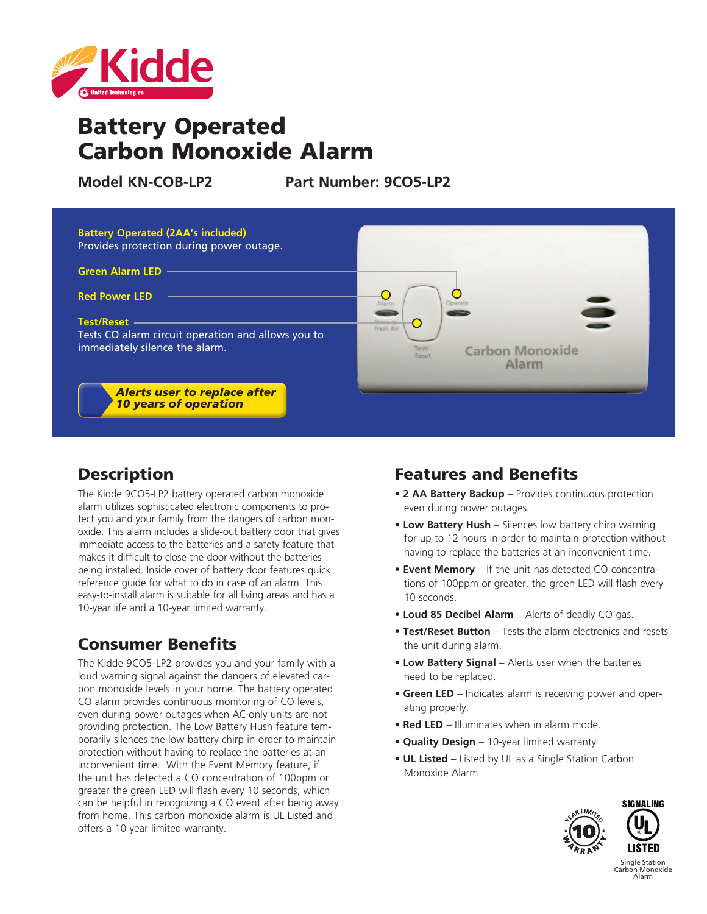

# Battery Operated Carbon Monoxide Alarm

**Model KN-COB-LP2 Part Number: 9CO5-LP2**



# **Description**

The Kidde 9CO5-LP2 battery operated carbon monoxide alarm utilizes sophisticated electronic components to protect you and your family from the dangers of carbon monoxide. This alarm includes a slide-out battery door that gives immediate access to the batteries and a safety feature that makes it difficult to close the door without the batteries being installed. Inside cover of battery door features quick reference guide for what to do in case of an alarm. This easy-to-install alarm is suitable for all living areas and has a 10-year life and a 10-year limited warranty.

# Consumer Benefits

The Kidde 9CO5-LP2 provides you and your family with a loud warning signal against the dangers of elevated carbon monoxide levels in your home. The battery operated CO alarm provides continuous monitoring of CO levels, even during power outages when AC-only units are not providing protection. The Low Battery Hush feature temporarily silences the low battery chirp in order to maintain protection without having to replace the batteries at an inconvenient time. With the Event Memory feature, if the unit has detected a CO concentration of 100ppm or greater the green LED will flash every 10 seconds, which can be helpful in recognizing a CO event after being away from home. This carbon monoxide alarm is UL Listed and offers a 10 year limited warranty.

## Features and Benefits

- **2 AA Battery Backup** Provides continuous protection even during power outages.
- **Low Battery Hush** Silences low battery chirp warning for up to 12 hours in order to maintain protection without having to replace the batteries at an inconvenient time.
- **Event Memory** If the unit has detected CO concentrations of 100ppm or greater, the green LED will flash every 10 seconds.
- **Loud 85 Decibel Alarm**  Alerts of deadly CO gas.
- **Test/Reset Button**  Tests the alarm electronics and resets the unit during alarm.
- **Low Battery Signal** Alerts user when the batteries need to be replaced.
- **Green LED**  Indicates alarm is receiving power and operating properly.
- **Red LED** Illuminates when in alarm mode.
- **Quality Design**  10-year limited warranty
- **UL Listed** Listed by UL as a Single Station Carbon Monoxide Alarm



Carbon Monoxide Alarm